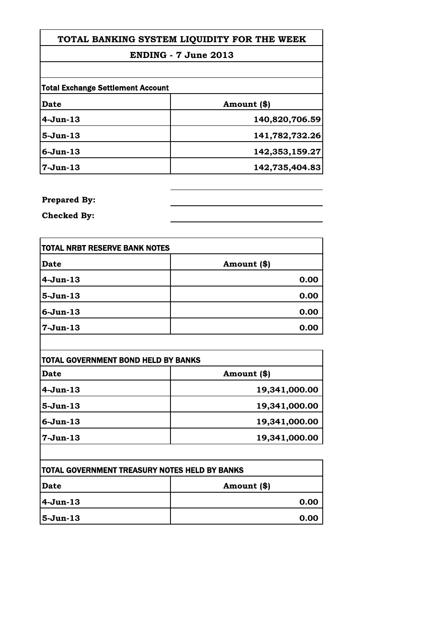| TOTAL BANKING SYSTEM LIQUIDITY FOR THE WEEK |                |
|---------------------------------------------|----------------|
| <b>ENDING - 7 June 2013</b>                 |                |
|                                             |                |
| <b>Total Exchange Settlement Account</b>    |                |
| <b>Date</b>                                 | Amount (\$)    |
| 4-Jun-13                                    | 140,820,706.59 |
| 5-Jun-13                                    | 141,782,732.26 |
| 6-Jun-13                                    | 142,353,159.27 |
| 7-Jun-13                                    | 142,735,404.83 |

**Prepared By:**

**Checked By:**

| <b>TOTAL NRBT RESERVE BANK NOTES</b> |             |
|--------------------------------------|-------------|
| <b>Date</b>                          | Amount (\$) |
| 4-Jun-13                             | 0.00        |
| 5-Jun-13                             | 0.00        |
| $6 - Jun-13$                         | 0.00        |
| 7-Jun-13                             | 0.00        |

| Date        | Amount (\$)   |
|-------------|---------------|
| $4-Jun-13$  | 19,341,000.00 |
| $5-Jun-13$  | 19,341,000.00 |
| $6$ -Jun-13 | 19,341,000.00 |
| $7-Jun-13$  | 19,341,000.00 |

| <b>TOTAL GOVERNMENT TREASURY NOTES HELD BY BANKS</b> |               |
|------------------------------------------------------|---------------|
| Date                                                 | Amount $(\$)$ |
| $ 4-J$ un-13                                         | 0.00          |
| 5-Jun-13                                             | 0.00          |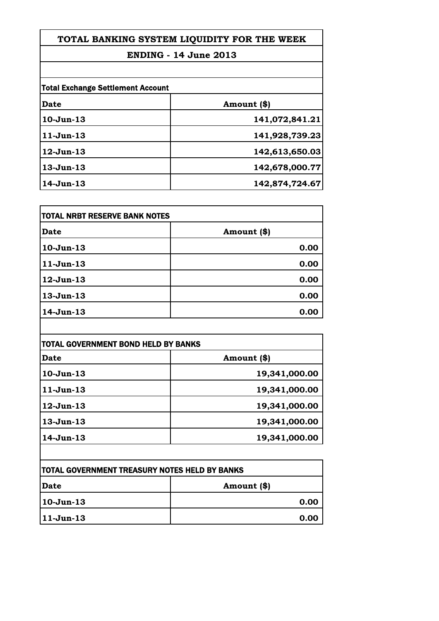# **TOTAL BANKING SYSTEM LIQUIDITY FOR THE WEEK**

# **ENDING - 14 June 2013**

| <b>Total Exchange Settlement Account</b> |                |
|------------------------------------------|----------------|
| Date                                     | Amount (\$)    |
| $10-Jun-13$                              | 141,072,841.21 |
| $11-Jun-13$                              | 141,928,739.23 |
| $12$ -Jun- $13$                          | 142,613,650.03 |
| $13$ -Jun $-13$                          | 142,678,000.77 |
| $14$ -Jun- $13$                          | 142,874,724.67 |

| <b>TOTAL NRBT RESERVE BANK NOTES</b> |             |
|--------------------------------------|-------------|
| Date                                 | Amount (\$) |
| $10-Jun-13$                          | 0.00        |
| $11-Jun-13$                          | 0.00        |
| $12$ -Jun- $13$                      | 0.00        |
| 13-Jun-13                            | 0.00        |
| $14$ -Jun- $13$                      | 0.00        |

| <b>TOTAL GOVERNMENT BOND HELD BY BANKS</b> |               |
|--------------------------------------------|---------------|
| Date                                       | Amount (\$)   |
| $10-Jun-13$                                | 19,341,000.00 |
| $11-Jun-13$                                | 19,341,000.00 |
| $12$ -Jun- $13$                            | 19,341,000.00 |
| $13$ -Jun $-13$                            | 19,341,000.00 |
| $14$ -Jun- $13$                            | 19,341,000.00 |

| <b>ITOTAL GOVERNMENT TREASURY NOTES HELD BY BANKS</b> |             |
|-------------------------------------------------------|-------------|
| <b>Date</b>                                           | Amount (\$) |
| 10-Jun-13                                             | 0.00        |
| 11-Jun-13                                             | 0.00        |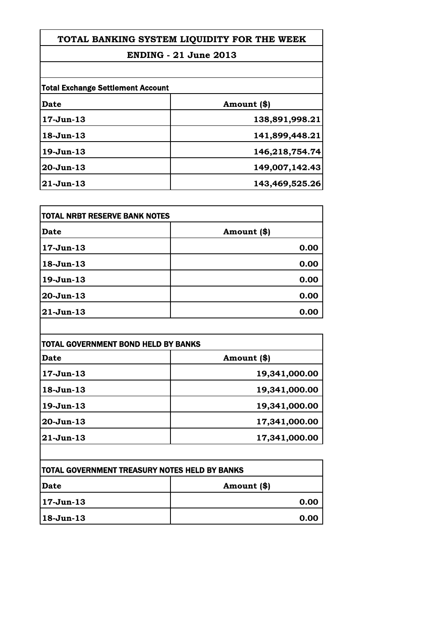# **TOTAL BANKING SYSTEM LIQUIDITY FOR THE WEEK**

### **ENDING - 21 June 2013**

| <b>Total Exchange Settlement Account</b> |                |
|------------------------------------------|----------------|
| Date                                     | Amount (\$)    |
| $17 - Jun-13$                            | 138,891,998.21 |
| $18 - Jun-13$                            | 141,899,448.21 |
| $19$ -Jun $-13$                          | 146,218,754.74 |
| $20 - Jun-13$                            | 149,007,142.43 |
| $21$ -Jun-13                             | 143,469,525.26 |

| <b>TOTAL NRBT RESERVE BANK NOTES</b> |              |
|--------------------------------------|--------------|
| Date                                 | Amount $(*)$ |
| $17 - Jun-13$                        | 0.00         |
| 18-Jun-13                            | 0.00         |
| 19-Jun-13                            | 0.00         |
| 20-Jun-13                            | 0.00         |
| $21 - Jun-13$                        | 0.00         |

| Date             | Amount (\$)   |
|------------------|---------------|
|                  |               |
| $17 - Jun-13$    | 19,341,000.00 |
| $18 - Jun-13$    | 19,341,000.00 |
| $19$ -Jun $-13$  | 19,341,000.00 |
| 20-Jun-13        | 17,341,000.00 |
| $ 21$ -Jun- $13$ | 17,341,000.00 |

| <b>ITOTAL GOVERNMENT TREASURY NOTES HELD BY BANKS</b> |             |
|-------------------------------------------------------|-------------|
| Date                                                  | Amount (\$) |
| 17-Jun-13                                             | 0.00        |
| $ 18 - Jun - 13 $                                     | 0.00        |